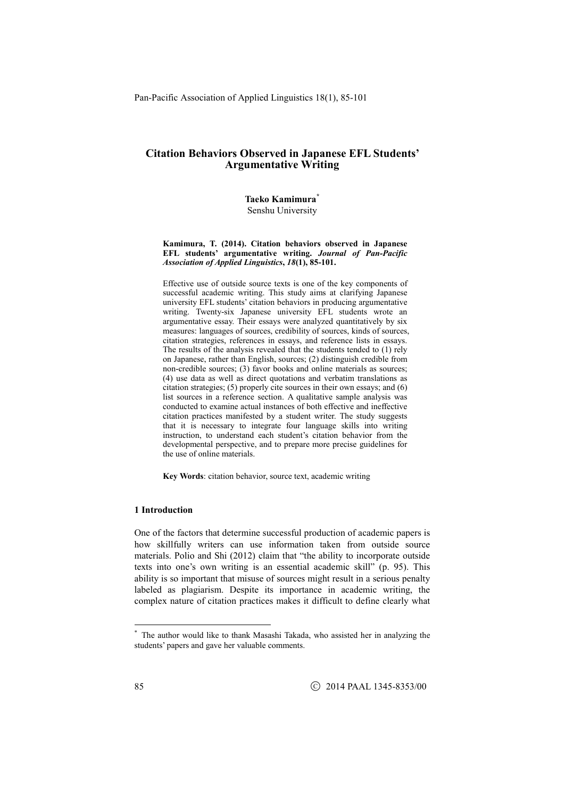**Taeko Kamimura\*** Senshu University

#### **Kamimura, T. (2014). Citation behaviors observed in Japanese EFL students' argumentative writing.** *Journal of Pan-Pacific Association of Applied Linguistics***,** *18***(1), 85-101.**

Effective use of outside source texts is one of the key components of successful academic writing. This study aims at clarifying Japanese university EFL students' citation behaviors in producing argumentative writing. Twenty-six Japanese university EFL students wrote an argumentative essay. Their essays were analyzed quantitatively by six measures: languages of sources, credibility of sources, kinds of sources, citation strategies, references in essays, and reference lists in essays. The results of the analysis revealed that the students tended to (1) rely on Japanese, rather than English, sources; (2) distinguish credible from non-credible sources; (3) favor books and online materials as sources; (4) use data as well as direct quotations and verbatim translations as citation strategies; (5) properly cite sources in their own essays; and (6) conducted to examine actual instances of both effective and ineffective citation practices manifested by a student writer. The study suggests that it is necessary to integrate four language skills into writing instruction, to understand each student's citation behavior from the developmental perspective, and to prepare more precise guidelines for the use of online materials.

**Key Words**: citation behavior, source text, academic writing

#### **1 Introduction**

One of the factors that determine successful production of academic papers is how skillfully writers can use information taken from outside source materials. Polio and Shi (2012) claim that "the ability to incorporate outside texts into one's own writing is an essential academic skill" (p. 95). This ability is so important that misuse of sources might result in a serious penalty labeled as plagiarism. Despite its importance in academic writing, the complex nature of citation practices makes it difficult to define clearly what

<sup>\*</sup> The author would like to thank Masashi Takada, who assisted her in analyzing the students' papers and gave her valuable comments.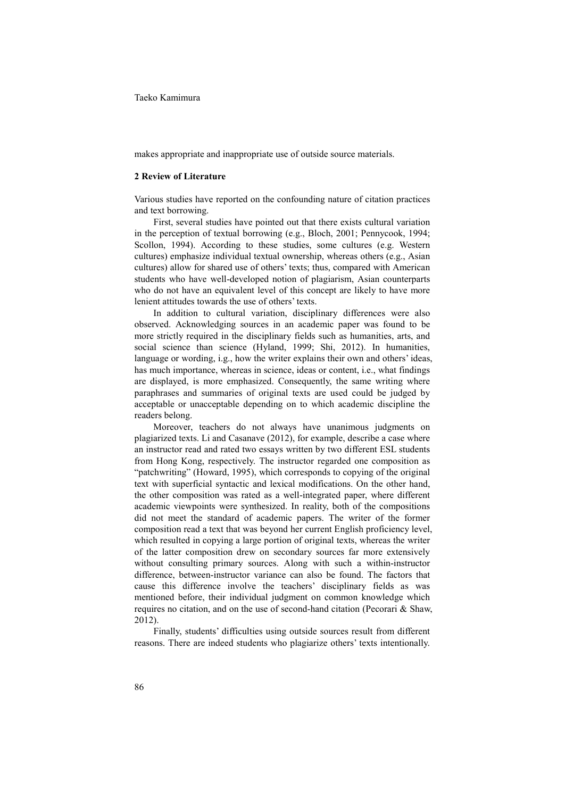makes appropriate and inappropriate use of outside source materials.

#### **2 Review of Literature**

Various studies have reported on the confounding nature of citation practices and text borrowing.

 First, several studies have pointed out that there exists cultural variation in the perception of textual borrowing (e.g., Bloch, 2001; Pennycook, 1994; Scollon, 1994). According to these studies, some cultures (e.g. Western cultures) emphasize individual textual ownership, whereas others (e.g., Asian cultures) allow for shared use of others' texts; thus, compared with American students who have well-developed notion of plagiarism, Asian counterparts who do not have an equivalent level of this concept are likely to have more lenient attitudes towards the use of others' texts.

In addition to cultural variation, disciplinary differences were also observed. Acknowledging sources in an academic paper was found to be more strictly required in the disciplinary fields such as humanities, arts, and social science than science (Hyland, 1999; Shi, 2012). In humanities, language or wording, i.g., how the writer explains their own and others' ideas, has much importance, whereas in science, ideas or content, i.e., what findings are displayed, is more emphasized. Consequently, the same writing where paraphrases and summaries of original texts are used could be judged by acceptable or unacceptable depending on to which academic discipline the readers belong. Moreover, teachers do not always have unanimous judgments on

plagiarized texts. Li and Casanave (2012), for example, describe a case where an instructor read and rated two essays written by two different ESL students from Hong Kong, respectively. The instructor regarded one composition as "patchwriting" (Howard, 1995), which corresponds to copying of the original text with superficial syntactic and lexical modifications. On the other hand, the other composition was rated as a well-integrated paper, where different academic viewpoints were synthesized. In reality, both of the compositions did not meet the standard of academic papers. The writer of the former composition read a text that was beyond her current English proficiency level, which resulted in copying a large portion of original texts, whereas the writer of the latter composition drew on secondary sources far more extensively without consulting primary sources. Along with such a within-instructor difference, between-instructor variance can also be found. The factors that cause this difference involve the teachers' disciplinary fields as was mentioned before, their individual judgment on common knowledge which requires no citation, and on the use of second-hand citation (Pecorari & Shaw, 2012).

 Finally, students' difficulties using outside sources result from different reasons. There are indeed students who plagiarize others' texts intentionally.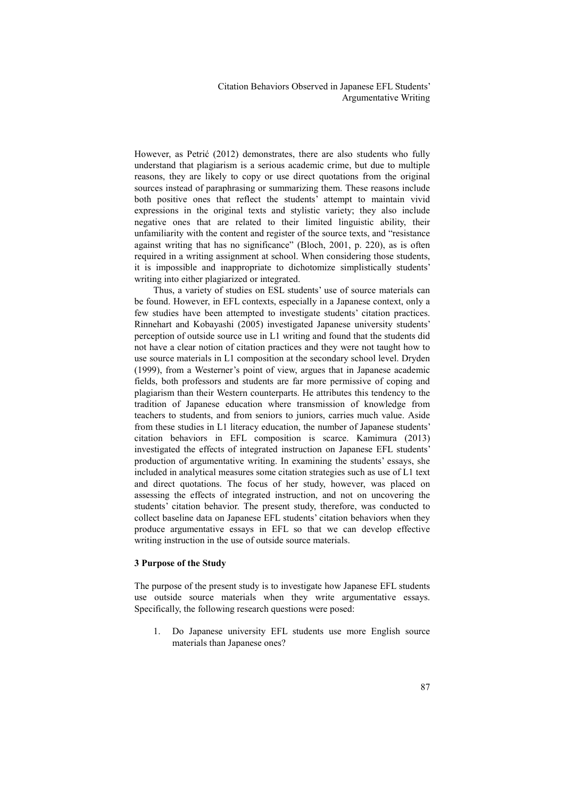However, as Petrić (2012) demonstrates, there are also students who fully understand that plagiarism is a serious academic crime, but due to multiple reasons, they are likely to copy or use direct quotations from the original sources instead of paraphrasing or summarizing them. These reasons include both positive ones that reflect the students' attempt to maintain vivid expressions in the original texts and stylistic variety; they also include negative ones that are related to their limited linguistic ability, their unfamiliarity with the content and register of the source texts, and "resistance against writing that has no significance" (Bloch, 2001, p. 220), as is often required in a writing assignment at school. When considering those students, it is impossible and inappropriate to dichotomize simplistically students' writing into either plagiarized or integrated.

 Thus, a variety of studies on ESL students' use of source materials can be found. However, in EFL contexts, especially in a Japanese context, only a few studies have been attempted to investigate students' citation practices. Rinnehart and Kobayashi (2005) investigated Japanese university students' perception of outside source use in L1 writing and found that the students did not have a clear notion of citation practices and they were not taught how to use source materials in L1 composition at the secondary school level. Dryden (1999), from a Westerner's point of view, argues that in Japanese academic fields, both professors and students are far more permissive of coping and plagiarism than their Western counterparts. He attributes this tendency to the tradition of Japanese education where transmission of knowledge from teachers to students, and from seniors to juniors, carries much value. Aside from these studies in L1 literacy education, the number of Japanese students' citation behaviors in EFL composition is scarce. Kamimura (2013) investigated the effects of integrated instruction on Japanese EFL students' production of argumentative writing. In examining the students' essays, she included in analytical measures some citation strategies such as use of L1 text and direct quotations. The focus of her study, however, was placed on assessing the effects of integrated instruction, and not on uncovering the students' citation behavior. The present study, therefore, was conducted to collect baseline data on Japanese EFL students' citation behaviors when they produce argumentative essays in EFL so that we can develop effective writing instruction in the use of outside source materials.

# **3 Purpose of the Study**

The purpose of the present study is to investigate how Japanese EFL students use outside source materials when they write argumentative essays. Specifically, the following research questions were posed:

1. Do Japanese university EFL students use more English source materials than Japanese ones?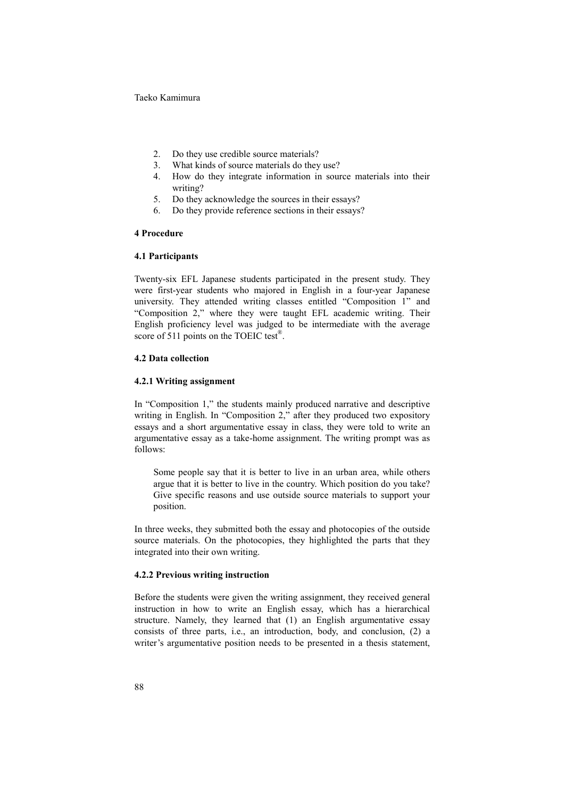- 2. Do they use credible source materials?
- 3. What kinds of source materials do they use?
- 4. How do they integrate information in source materials into their writing?
- 5. Do they acknowledge the sources in their essays?
- 6. Do they provide reference sections in their essays?

# **4 Procedure**

# **4.1 Participants**

Twenty-six EFL Japanese students participated in the present study. They were first-year students who majored in English in a four-year Japanese university. They attended writing classes entitled "Composition 1" and "Composition 2," where they were taught EFL academic writing. Their English proficiency level was judged to be intermediate with the average score of 511 points on the TOEIC test<sup>®</sup>.

#### **4.2 Data collection**

#### **4.2.1 Writing assignment**

In "Composition 1," the students mainly produced narrative and descriptive writing in English. In "Composition 2," after they produced two expository essays and a short argumentative essay in class, they were told to write an argumentative essay as a take-home assignment. The writing prompt was as follows:

 Some people say that it is better to live in an urban area, while others argue that it is better to live in the country. Which position do you take? Give specific reasons and use outside source materials to support your position.

In three weeks, they submitted both the essay and photocopies of the outside source materials. On the photocopies, they highlighted the parts that they integrated into their own writing.

# **4.2.2 Previous writing instruction**

Before the students were given the writing assignment, they received general instruction in how to write an English essay, which has a hierarchical structure. Namely, they learned that (1) an English argumentative essay consists of three parts, i.e., an introduction, body, and conclusion, (2) a writer's argumentative position needs to be presented in a thesis statement,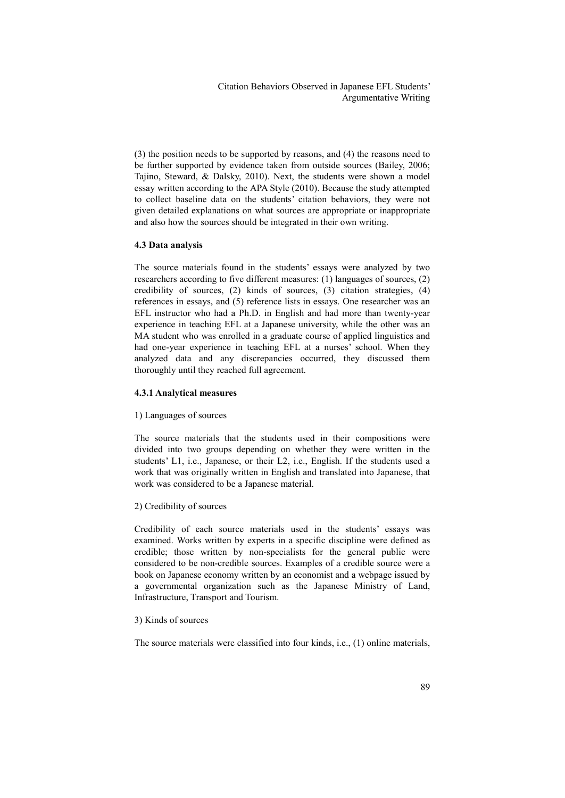(3) the position needs to be supported by reasons, and (4) the reasons need to be further supported by evidence taken from outside sources (Bailey, 2006; Tajino, Steward, & Dalsky, 2010). Next, the students were shown a model essay written according to the APA Style (2010). Because the study attempted to collect baseline data on the students' citation behaviors, they were not given detailed explanations on what sources are appropriate or inappropriate and also how the sources should be integrated in their own writing.

# **4.3 Data analysis**

The source materials found in the students' essays were analyzed by two researchers according to five different measures: (1) languages of sources, (2) credibility of sources, (2) kinds of sources, (3) citation strategies, (4) references in essays, and (5) reference lists in essays. One researcher was an EFL instructor who had a Ph.D. in English and had more than twenty-year experience in teaching EFL at a Japanese university, while the other was an MA student who was enrolled in a graduate course of applied linguistics and had one-year experience in teaching EFL at a nurses' school. When they analyzed data and any discrepancies occurred, they discussed them thoroughly until they reached full agreement.

#### **4.3.1 Analytical measures**

#### 1) Languages of sources

The source materials that the students used in their compositions were divided into two groups depending on whether they were written in the students' L1, i.e., Japanese, or their L2, i.e., English. If the students used a work that was originally written in English and translated into Japanese, that work was considered to be a Japanese material. 2) Credibility of sources

Credibility of each source materials used in the students' essays was examined. Works written by experts in a specific discipline were defined as credible; those written by non-specialists for the general public were considered to be non-credible sources. Examples of a credible source were a book on Japanese economy written by an economist and a webpage issued by a governmental organization such as the Japanese Ministry of Land, Infrastructure, Transport and Tourism.

# 3) Kinds of sources

The source materials were classified into four kinds, i.e., (1) online materials,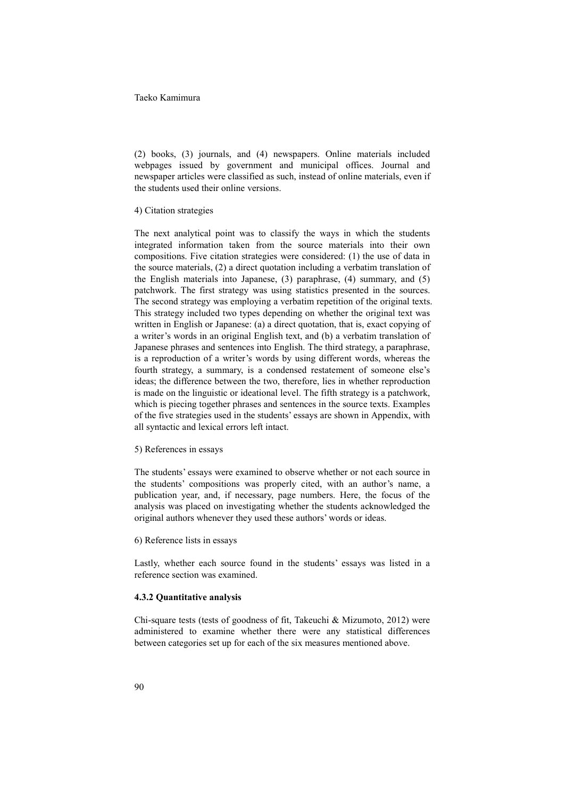(2) books, (3) journals, and (4) newspapers. Online materials included webpages issued by government and municipal offices. Journal and newspaper articles were classified as such, instead of online materials, even if the students used their online versions.

4) Citation strategies

The next analytical point was to classify the ways in which the students integrated information taken from the source materials into their own compositions. Five citation strategies were considered: (1) the use of data in the source materials, (2) a direct quotation including a verbatim translation of the English materials into Japanese, (3) paraphrase, (4) summary, and (5) patchwork. The first strategy was using statistics presented in the sources. The second strategy was employing a verbatim repetition of the original texts. This strategy included two types depending on whether the original text was written in English or Japanese: (a) a direct quotation, that is, exact copying of a writer's words in an original English text, and (b) a verbatim translation of Japanese phrases and sentences into English. The third strategy, a paraphrase, is a reproduction of a writer's words by using different words, whereas the fourth strategy, a summary, is a condensed restatement of someone else's ideas; the difference between the two, therefore, lies in whether reproduction is made on the linguistic or ideational level. The fifth strategy is a patchwork, which is piecing together phrases and sentences in the source texts. Examples of the five strategies used in the students' essays are shown in Appendix, with all syntactic and lexical errors left intact.

#### 5) References in essays

The students' essays were examined to observe whether or not each source in the students' compositions was properly cited, with an author's name, a publication year, and, if necessary, page numbers. Here, the focus of the analysis was placed on investigating whether the students acknowledged the original authors whenever they used these authors' words or ideas.

#### 6) Reference lists in essays

Lastly, whether each source found in the students' essays was listed in a reference section was examined.

# **4.3.2 Quantitative analysis**

Chi-square tests (tests of goodness of fit, Takeuchi  $\&$  Mizumoto, 2012) were administered to examine whether there were any statistical differences between categories set up for each of the six measures mentioned above.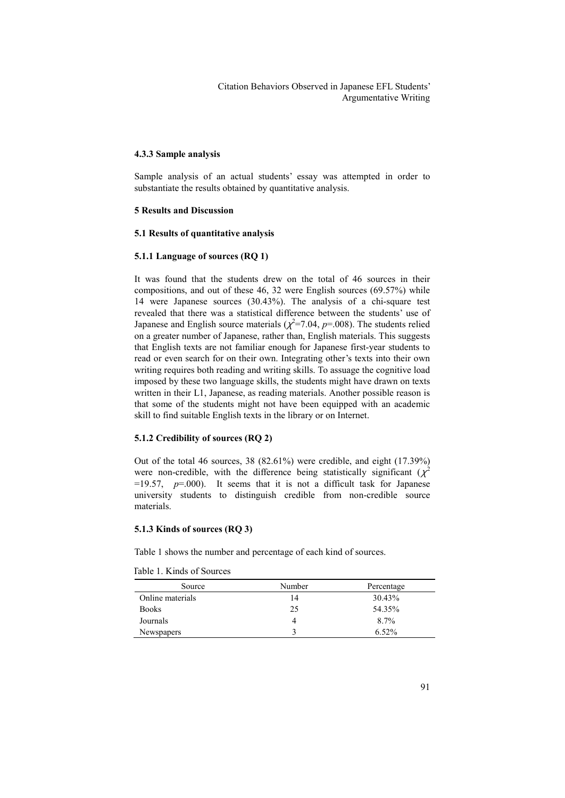# **4.3.3 Sample analysis**

Sample analysis of an actual students' essay was attempted in order to substantiate the results obtained by quantitative analysis.

# **5 Results and Discussion**

#### **5.1 Results of quantitative analysis**

### **5.1.1 Language of sources (RQ 1)**

It was found that the students drew on the total of 46 sources in their compositions, and out of these 46, 32 were English sources (69.57%) while 14 were Japanese sources (30.43%). The analysis of a chi-square test revealed that there was a statistical difference between the students' use of Japanese and English source materials ( $\chi^2$ =7.04, p=.008). The students relied on a greater number of Japanese, rather than, English materials. This suggests that English texts are not familiar enough for Japanese first-year students to read or even search for on their own. Integrating other's texts into their own writing requires both reading and writing skills. To assuage the cognitive load imposed by these two language skills, the students might have drawn on texts written in their L1, Japanese, as reading materials. Another possible reason is that some of the students might not have been equipped with an academic skill to find suitable English texts in the library or on Internet.

# **5.1.2 Credibility of sources (RQ 2)**

Out of the total 46 sources, 38 (82.61%) were credible, and eight (17.39%) were non-credible, with the difference being statistically significant ( $\chi^2$ 2  $=19.57$ ,  $p=.000$ ). It seems that it is not a difficult task for Japanese university students to distinguish credible from non-credible source materials.

# **5.1.3 Kinds of sources (RQ 3)**

Table 1 shows the number and percentage of each kind of sources.

Table 1. Kinds of Sources

| Source            | Number | Percentage |
|-------------------|--------|------------|
| Online materials  | 14     | 30.43%     |
| <b>Books</b>      | 25     | 54.35%     |
| Journals          |        | 8.7%       |
| <b>Newspapers</b> |        | $6.52\%$   |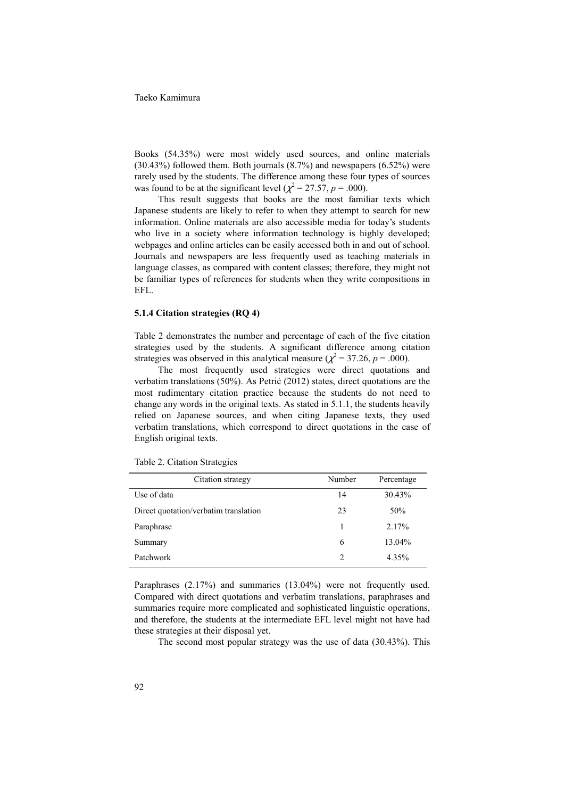Books (54.35%) were most widely used sources, and online materials (30.43%) followed them. Both journals (8.7%) and newspapers (6.52%) were rarely used by the students. The difference among these four types of sources was found to be at the significant level ( $\chi^2$  = 27.57, p = .000).

This result suggests that books are the most familiar texts which Japanese students are likely to refer to when they attempt to search for new information. Online materials are also accessible media for today's students who live in a society where information technology is highly developed; webpages and online articles can be easily accessed both in and out of school. Journals and newspapers are less frequently used as teaching materials in language classes, as compared with content classes; therefore, they might not be familiar types of references for students when they write compositions in EFL.

# **5.1.4 Citation strategies (RQ 4)**

Table 2 demonstrates the number and percentage of each of the five citation strategies used by the students. A significant difference among citation strategies was observed in this analytical measure  $(\chi^2 = 37.26, p = .000)$ .

The most frequently used strategies were direct quotations and verbatim translations (50%). As Petrić (2012) states, direct quotations are the most rudimentary citation practice because the students do not need to change any words in the original texts. As stated in 5.1.1, the students heavily relied on Japanese sources, and when citing Japanese texts, they used verbatim translations, which correspond to direct quotations in the case of English original texts.

| Citation strategy                     | Number         | Percentage |
|---------------------------------------|----------------|------------|
| Use of data                           | 14             | 30.43%     |
| Direct quotation/verbatim translation | 23             | 50%        |
| Paraphrase                            |                | $2.17\%$   |
| Summary                               | 6              | 13.04%     |
| Patchwork                             | $\overline{c}$ | 4.35%      |

Table 2. Citation Strategies

Paraphrases (2.17%) and summaries (13.04%) were not frequently used. Compared with direct quotations and verbatim translations, paraphrases and summaries require more complicated and sophisticated linguistic operations, and therefore, the students at the intermediate EFL level might not have had these strategies at their disposal yet.

The second most popular strategy was the use of data (30.43%). This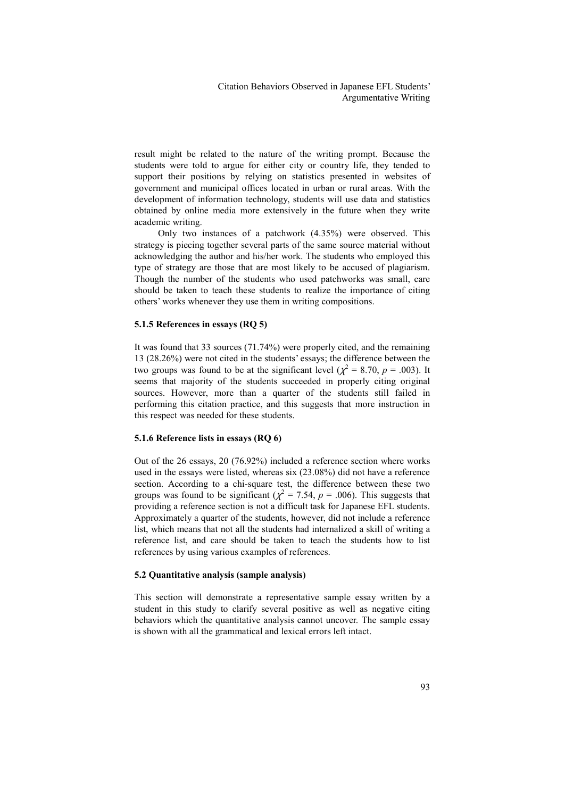result might be related to the nature of the writing prompt. Because the students were told to argue for either city or country life, they tended to support their positions by relying on statistics presented in websites of government and municipal offices located in urban or rural areas. With the development of information technology, students will use data and statistics obtained by online media more extensively in the future when they write academic writing. Only two instances of a patchwork (4.35%) were observed. This

strategy is piecing together several parts of the same source material without acknowledging the author and his/her work. The students who employed this type of strategy are those that are most likely to be accused of plagiarism. Though the number of the students who used patchworks was small, care should be taken to teach these students to realize the importance of citing others' works whenever they use them in writing compositions.

#### **5.1.5 References in essays (RQ 5)**

It was found that 33 sources (71.74%) were properly cited, and the remaining 13 (28.26%) were not cited in the students' essays; the difference between the two groups was found to be at the significant level ( $\chi^2 = 8.70$ ,  $p = .003$ ). It seems that majority of the students succeeded in properly citing original sources. However, more than a quarter of the students still failed in performing this citation practice, and this suggests that more instruction in this respect was needed for these students.

# **5.1.6 Reference lists in essays (RQ 6)**

Out of the 26 essays, 20 (76.92%) included a reference section where works used in the essays were listed, whereas six (23.08%) did not have a reference section. According to a chi-square test, the difference between these two groups was found to be significant ( $\chi^2$  = 7.54, *p* = .006). This suggests that providing a reference section is not a difficult task for Japanese EFL students. Approximately a quarter of the students, however, did not include a reference list, which means that not all the students had internalized a skill of writing a reference list, and care should be taken to teach the students how to list references by using various examples of references.

#### **5.2 Quantitative analysis (sample analysis)**

This section will demonstrate a representative sample essay written by a student in this study to clarify several positive as well as negative citing behaviors which the quantitative analysis cannot uncover. The sample essay is shown with all the grammatical and lexical errors left intact.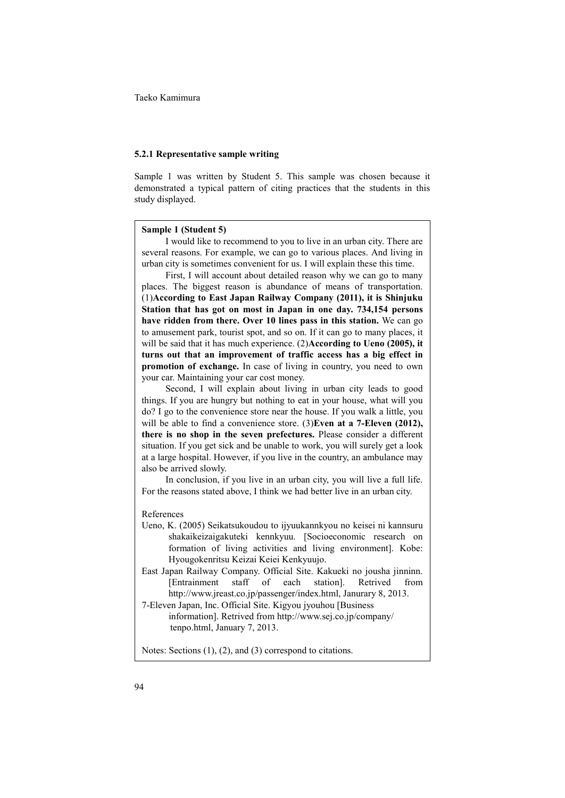#### **5.2.1 Representative sample writing**

Sample 1 was written by Student 5. This sample was chosen because it demonstrated a typical pattern of citing practices that the students in this study displayed.

# **Sample 1 (Student 5)**

 I would like to recommend to you to live in an urban city. There are several reasons. For example, we can go to various places. And living in urban city is sometimes convenient for us. I will explain these this time.

 First, I will account about detailed reason why we can go to many places. The biggest reason is abundance of means of transportation. (1)**According to East Japan Railway Company (2011), it is Shinjuku Station that has got on most in Japan in one day. 734,154 persons have ridden from there. Over 10 lines pass in this station.** We can go to amusement park, tourist spot, and so on. If it can go to many places, it will be said that it has much experience. (2)**According to Ueno (2005), it turns out that an improvement of traffic access has a big effect in promotion of exchange.** In case of living in country, you need to own your car. Maintaining your car cost money.

 Second, I will explain about living in urban city leads to good things. If you are hungry but nothing to eat in your house, what will you do? I go to the convenience store near the house. If you walk a little, you will be able to find a convenience store. (3)**Even at a 7-Eleven (2012), there is no shop in the seven prefectures.** Please consider a different situation. If you get sick and be unable to work, you will surely get a look at a large hospital. However, if you live in the country, an ambulance may also be arrived slowly.

 In conclusion, if you live in an urban city, you will live a full life. For the reasons stated above, I think we had better live in an urban city.

#### References

- Ueno, K. (2005) Seikatsukoudou to ijyuukannkyou no keisei ni kannsuru shakaikeizaigakuteki kennkyuu. [Socioeconomic research on formation of living activities and living environment]. Kobe: Hyougokenritsu Keizai Keiei Kenkyuujo.
- East Japan Railway Company. Official Site. Kakueki no jousha jinninn. [Entrainment staff of each station]. Retrived from http://www.jreast.co.jp/passenger/index.html, Janurary 8, 2013.
- 7-Eleven Japan, Inc. Official Site. Kigyou jyouhou [Business information]. Retrived from http://www.sej.co.jp/company/ tenpo.html, January 7, 2013.

Notes: Sections (1), (2), and (3) correspond to citations.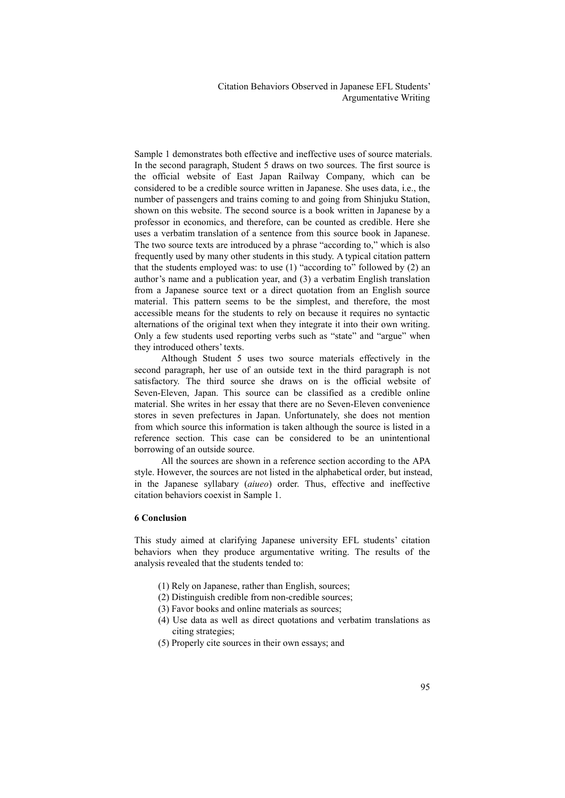Sample 1 demonstrates both effective and ineffective uses of source materials. In the second paragraph, Student 5 draws on two sources. The first source is the official website of East Japan Railway Company, which can be considered to be a credible source written in Japanese. She uses data, i.e., the number of passengers and trains coming to and going from Shinjuku Station, shown on this website. The second source is a book written in Japanese by a professor in economics, and therefore, can be counted as credible. Here she uses a verbatim translation of a sentence from this source book in Japanese. The two source texts are introduced by a phrase "according to," which is also frequently used by many other students in this study. A typical citation pattern that the students employed was: to use (1) "according to" followed by (2) an author's name and a publication year, and (3) a verbatim English translation from a Japanese source text or a direct quotation from an English source material. This pattern seems to be the simplest, and therefore, the most accessible means for the students to rely on because it requires no syntactic alternations of the original text when they integrate it into their own writing. Only a few students used reporting verbs such as "state" and "argue" when they introduced others' texts.

Although Student 5 uses two source materials effectively in the second paragraph, her use of an outside text in the third paragraph is not satisfactory. The third source she draws on is the official website of Seven-Eleven, Japan. This source can be classified as a credible online material. She writes in her essay that there are no Seven-Eleven convenience stores in seven prefectures in Japan. Unfortunately, she does not mention from which source this information is taken although the source is listed in a reference section. This case can be considered to be an unintentional borrowing of an outside source.

All the sources are shown in a reference section according to the APA style. However, the sources are not listed in the alphabetical order, but instead, in the Japanese syllabary (*aiueo*) order. Thus, effective and ineffective citation behaviors coexist in Sample 1.

# **6 Conclusion**

This study aimed at clarifying Japanese university EFL students' citation behaviors when they produce argumentative writing. The results of the analysis revealed that the students tended to:

- (1) Rely on Japanese, rather than English, sources;
- (2) Distinguish credible from non-credible sources;
- (3) Favor books and online materials as sources;
- (4) Use data as well as direct quotations and verbatim translations as citing strategies;
- (5) Properly cite sources in their own essays; and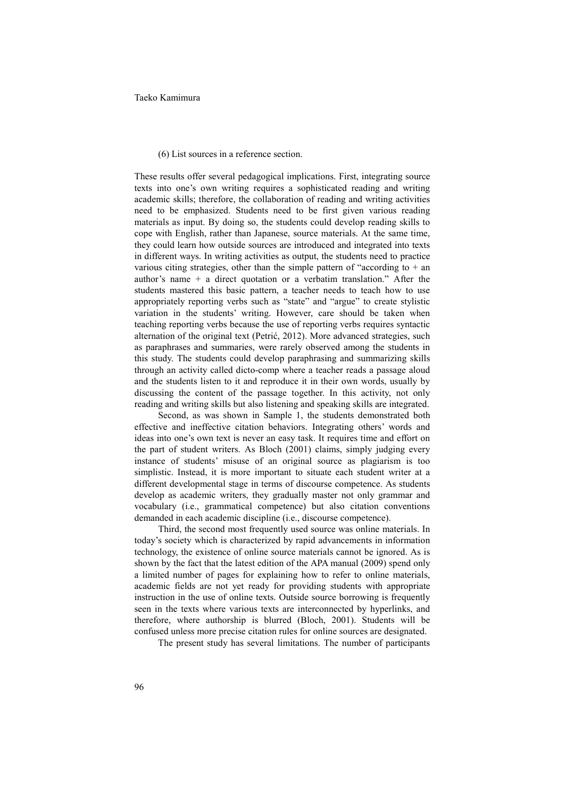#### (6) List sources in a reference section.

 These results offer several pedagogical implications. First, integrating source texts into one's own writing requires a sophisticated reading and writing academic skills; therefore, the collaboration of reading and writing activities need to be emphasized. Students need to be first given various reading materials as input. By doing so, the students could develop reading skills to cope with English, rather than Japanese, source materials. At the same time, they could learn how outside sources are introduced and integrated into texts in different ways. In writing activities as output, the students need to practice various citing strategies, other than the simple pattern of "according to  $+$  an author's name + a direct quotation or a verbatim translation." After the students mastered this basic pattern, a teacher needs to teach how to use appropriately reporting verbs such as "state" and "argue" to create stylistic variation in the students' writing. However, care should be taken when teaching reporting verbs because the use of reporting verbs requires syntactic alternation of the original text (Petrić, 2012). More advanced strategies, such as paraphrases and summaries, were rarely observed among the students in this study. The students could develop paraphrasing and summarizing skills through an activity called dicto-comp where a teacher reads a passage aloud and the students listen to it and reproduce it in their own words, usually by discussing the content of the passage together. In this activity, not only reading and writing skills but also listening and speaking skills are integrated.

 Second, as was shown in Sample 1, the students demonstrated both effective and ineffective citation behaviors. Integrating others' words and ideas into one's own text is never an easy task. It requires time and effort on the part of student writers. As Bloch (2001) claims, simply judging every instance of students' misuse of an original source as plagiarism is too simplistic. Instead, it is more important to situate each student writer at a different developmental stage in terms of discourse competence. As students develop as academic writers, they gradually master not only grammar and vocabulary (i.e., grammatical competence) but also citation conventions demanded in each academic discipline (i.e., discourse competence).

Third, the second most frequently used source was online materials. In today's society which is characterized by rapid advancements in information technology, the existence of online source materials cannot be ignored. As is shown by the fact that the latest edition of the APA manual (2009) spend only a limited number of pages for explaining how to refer to online materials, academic fields are not yet ready for providing students with appropriate instruction in the use of online texts. Outside source borrowing is frequently seen in the texts where various texts are interconnected by hyperlinks, and therefore, where authorship is blurred (Bloch, 2001). Students will be confused unless more precise citation rules for online sources are designated.

The present study has several limitations. The number of participants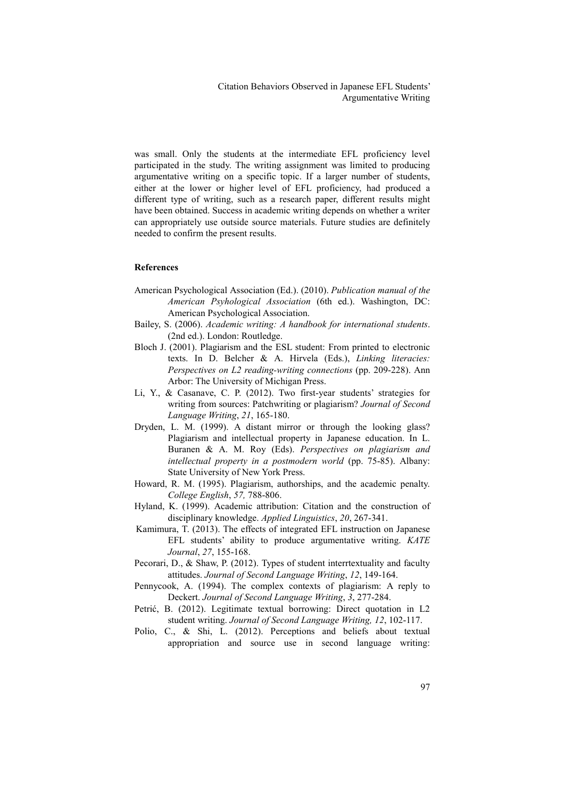was small. Only the students at the intermediate EFL proficiency level participated in the study. The writing assignment was limited to producing argumentative writing on a specific topic. If a larger number of students, either at the lower or higher level of EFL proficiency, had produced a different type of writing, such as a research paper, different results might have been obtained. Success in academic writing depends on whether a writer can appropriately use outside source materials. Future studies are definitely needed to confirm the present results.

# **References**

- American Psychological Association (Ed.). (2010). *Publication manual of the American Psyhological Association* (6th ed.). Washington, DC: American Psychological Association.
- Bailey, S. (2006). *Academic writing: A handbook for international students*. (2nd ed.). London: Routledge.
- Bloch J. (2001). Plagiarism and the ESL student: From printed to electronic texts. In D. Belcher & A. Hirvela (Eds.), *Linking literacies: Perspectives on L2 reading-writing connections* (pp. 209-228). Ann Arbor: The University of Michigan Press.
- Li, Y., & Casanave, C. P. (2012). Two first-year students' strategies for writing from sources: Patchwriting or plagiarism? *Journal of Second Language Writing*, *21*, 165-180.
- Dryden, L. M. (1999). A distant mirror or through the looking glass? Plagiarism and intellectual property in Japanese education. In L. Buranen & A. M. Roy (Eds). *Perspectives on plagiarism and intellectual property in a postmodern world* (pp. 75-85). Albany: State University of New York Press.
- Howard, R. M. (1995). Plagiarism, authorships, and the academic penalty. *College English*, *57,* 788-806.
- Hyland, K. (1999). Academic attribution: Citation and the construction of disciplinary knowledge. *Applied Linguistics*, *20*, 267-341.
- Kamimura, T. (2013). The effects of integrated EFL instruction on Japanese EFL students' ability to produce argumentative writing. *KATE Journal*, *27*, 155-168.
- Pecorari, D., & Shaw, P. (2012). Types of student interrtextuality and faculty attitudes. *Journal of Second Language Writing*, *12*, 149-164.
- Pennycook, A. (1994). The complex contexts of plagiarism: A reply to Deckert. *Journal of Second Language Writing*, *3*, 277-284.
- Petrić, B. (2012). Legitimate textual borrowing: Direct quotation in L2 student writing. *Journal of Second Language Writing, 12*, 102-117.
- Polio, C., & Shi, L. (2012). Perceptions and beliefs about textual appropriation and source use in second language writing: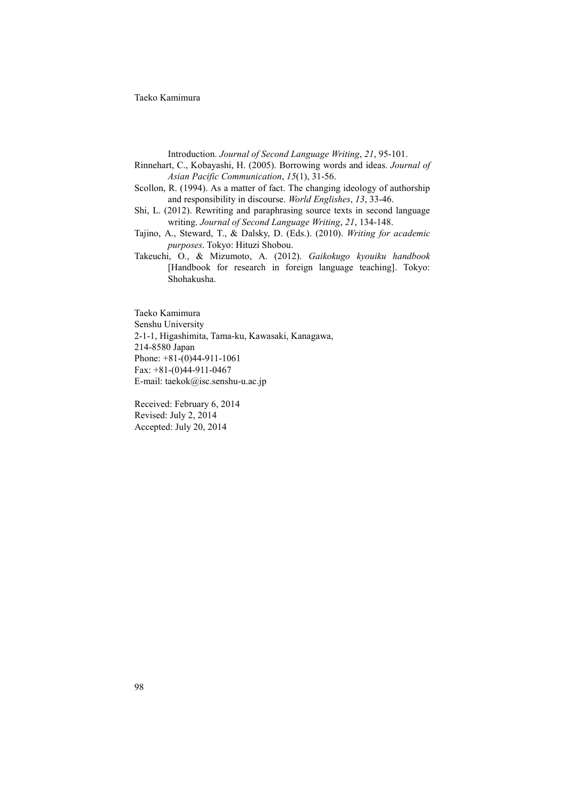Introduction. *Journal of Second Language Writing*, *21*, 95-101.

- Rinnehart, C., Kobayashi, H. (2005). Borrowing words and ideas. *Journal of Asian Pacific Communication*, *15*(1), 31-56.
- Scollon, R. (1994). As a matter of fact. The changing ideology of authorship and responsibility in discourse. *World Englishes*, *13*, 33-46.
- Shi, L. (2012). Rewriting and paraphrasing source texts in second language writing. *Journal of Second Language Writing*, *21*, 134-148.
- Tajino, A., Steward, T., & Dalsky, D. (Eds.). (2010). *Writing for academic purposes*. Tokyo: Hituzi Shobou.
- Takeuchi, O., & Mizumoto, A. (2012). *Gaikokugo kyouiku handbook* [Handbook for research in foreign language teaching]. Tokyo: Shohakusha.

Taeko Kamimura Senshu University 2-1-1, Higashimita, Tama-ku, Kawasaki, Kanagawa, 214-8580 Japan Phone: +81-(0)44-911-1061 Fax: +81-(0)44-911-0467 E-mail: taekok@isc.senshu-u.ac.jp

Received: February 6, 2014 Revised: July 2, 2014 Accepted: July 20, 2014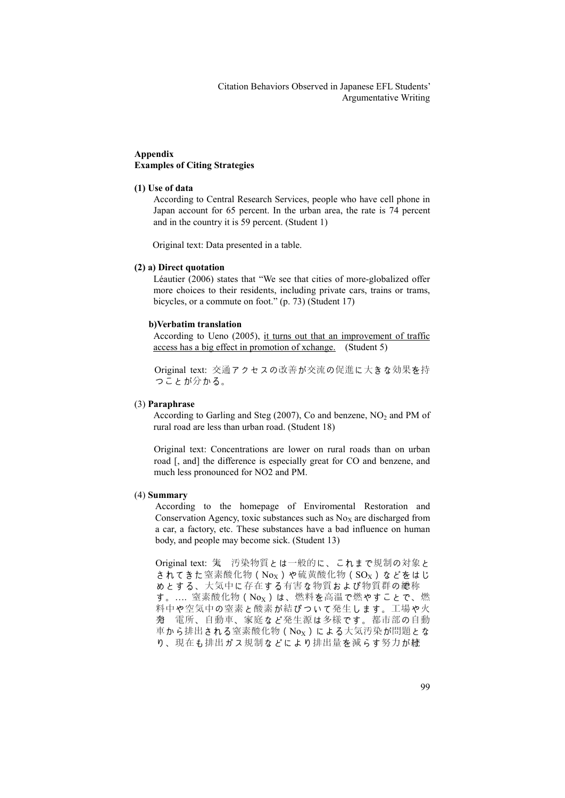# **Appendix Examples of Citing Strategies**

# **(1) Use of data**

According to Central Research Services, people who have cell phone in Japan account for 65 percent. In the urban area, the rate is 74 percent and in the country it is 59 percent. (Student 1)

Original text: Data presented in a table.

# **(2) a) Direct quotation**

Léautier (2006) states that "We see that cities of more-globalized offer more choices to their residents, including private cars, trains or trams, bicycles, or a commute on foot." (p. 73) (Student 17)

# **b)Verbatim translation**

 According to Ueno (2005), it turns out that an improvement of traffic access has a big effect in promotion of xchange. (Student 5)

Original text: 交通アクセスの改善が交流の促進に大きな効果を持 つことが分かる。

# (3) **Paraphrase**

According to Garling and Steg (2007), Co and benzene,  $NO<sub>2</sub>$  and PM of rural road are less than urban road. (Student 18)

Original text: Concentrations are lower on rural roads than on urban road [, and] the difference is especially great for CO and benzene, and much less pronounced for NO2 and PM.

# (4) **Summary**

According to the homepage of Enviromental Restoration and Conservation Agency, toxic substances such as  $N<sub>OX</sub>$  are discharged from a car, a factory, etc. These substances have a bad influence on human body, and people may become sick. (Student 13)

Original text: 気 汚染物質とは一般的に、これまで規制の対象と されてきた窒素酸化物(No<sub>x</sub>)や硫黄酸化物(SO<sub>x</sub>)などをはじ めとする、大気中に存在する有害な物質および物質群の総称 す。…. 窒素酸化物 (Nox) は、燃料を高温で燃やすことで、燃 料中や空気中の窒素と酸素が結びついて発生します。工場や火 力発 電所、自動車、家庭など発生源は多様です。都市部の自動 車から排出される窒素酸化物(Nox)による大気汚染が問題とな り、現在も排出ガス規制などにより排出量を減らす努力が続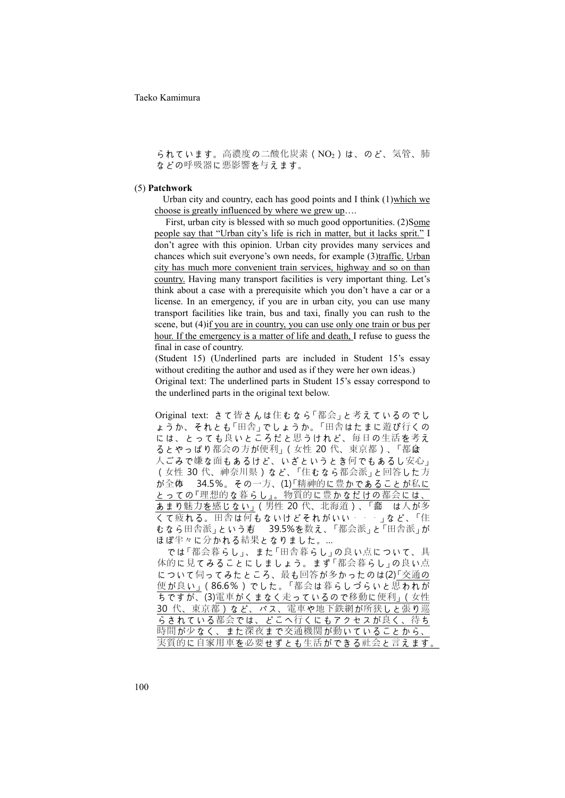られています。高濃度の二酸化炭素 (NO2)は、のど、気管、肺 などの呼吸器に悪影響を与えます。

#### (5) **Patchwork**

Urban city and country, each has good points and I think (1)which we choose is greatly influenced by where we grew up….

 First, urban city is blessed with so much good opportunities. (2)Some people say that "Urban city's life is rich in matter, but it lacks sprit." I don't agree with this opinion. Urban city provides many services and chances which suit everyone's own needs, for example (3)traffic. Urban city has much more convenient train services, highway and so on than country. Having many transport facilities is very important thing. Let's think about a case with a prerequisite which you don't have a car or a license. In an emergency, if you are in urban city, you can use many transport facilities like train, bus and taxi, finally you can rush to the scene, but (4)if you are in country, you can use only one train or bus per hour. If the emergency is a matter of life and death, I refuse to guess the final in case of country.

(Student 15) (Underlined parts are included in Student 15's essay without crediting the author and used as if they were her own ideas.) Original text: The underlined parts in Student 15's essay correspond to the underlined parts in the original text below.

Original text: さて皆さんは住むなら「都会」と考えているのでし ょうか、それとも「田舎」でしょうか。「田舎はたまに遊び行くの には、とっても良いところだと思うけれど、毎日の生活を考え るとやっぱり都会の方が便利」(女性 20代、東京都)、「都食 人ごみで嫌な面もあるけど、いざというとき何でもあるし安心」 (女性 30 代、神奈川県)など、「住むなら都会派」と回答した方  $\hat{\phi}$ が全体 34.5%。その一方、(1)「精神的に豊かであることが私に とっての『理想的な暮らし』。物質的に豊かなだけの都会には、 あまり魅力を感じない」(男性 20代、北海道)、「鄱 は人が多 くて疲れる。田舎は何もないけどそれがいい・・・」など、「住 むなら田舎派」という声 39.5%を数え、「都会派」と「田舎派」が ほぼ半々に分かれる結果となりました。…

では「都会暮らし」、また「田舎暮らし」の良い点について、具 体的に見てみることにしましょう。まず「都会暮らし」の良い点 について伺ってみたところ、最も回答が多かったのは(2)「交通の 便が良い」(86.6%)でした。「都会は暮らしづらいと思われが ちですが、(3)電車がくまなく走っているので移動に便利」(女性 30 代、東京都)など、バス、電車や地下鉄網が所狭しと張り巡 らされている都会では、どこへ行くにもアクセスが良く、待ち 時間が少なく、また深夜まで交通機関が動いていることから、 実質的に自家用車を必要せずとも生活ができる社会と言えます。